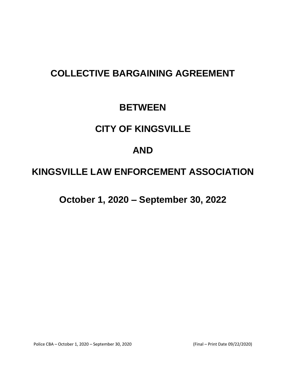# **COLLECTIVE BARGAINING AGREEMENT**

## **BETWEEN**

## **CITY OF KINGSVILLE**

## **AND**

# **KINGSVILLE LAW ENFORCEMENT ASSOCIATION**

**October 1, 2020 – September 30, 2022**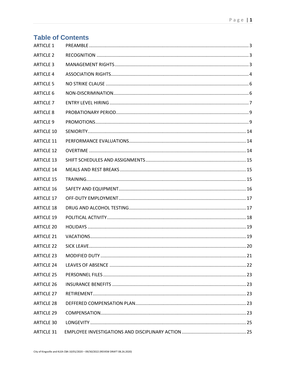| <b>Table of Contents</b> |  |
|--------------------------|--|
| <b>ARTICLE 1</b>         |  |
| <b>ARTICLE 2</b>         |  |
| <b>ARTICLE 3</b>         |  |
| <b>ARTICLE 4</b>         |  |
| <b>ARTICLE 5</b>         |  |
| <b>ARTICLE 6</b>         |  |
| <b>ARTICLE 7</b>         |  |
| <b>ARTICLE 8</b>         |  |
| <b>ARTICLE 9</b>         |  |
| <b>ARTICLE 10</b>        |  |
| <b>ARTICLE 11</b>        |  |
| <b>ARTICLE 12</b>        |  |
| <b>ARTICLE 13</b>        |  |
| <b>ARTICLE 14</b>        |  |
| <b>ARTICLE 15</b>        |  |
| <b>ARTICLE 16</b>        |  |
| <b>ARTICLE 17</b>        |  |
| <b>ARTICLE 18</b>        |  |
| <b>ARTICLE 19</b>        |  |
| <b>ARTICLE 20</b>        |  |
| <b>ARTICLE 21</b>        |  |
| <b>ARTICLE 22</b>        |  |
| <b>ARTICLE 23</b>        |  |
| <b>ARTICLE 24</b>        |  |
| <b>ARTICLE 25</b>        |  |
| <b>ARTICLE 26</b>        |  |
| <b>ARTICLE 27</b>        |  |
| <b>ARTICLE 28</b>        |  |
| <b>ARTICLE 29</b>        |  |
| <b>ARTICLE 30</b>        |  |
| <b>ARTICLE 31</b>        |  |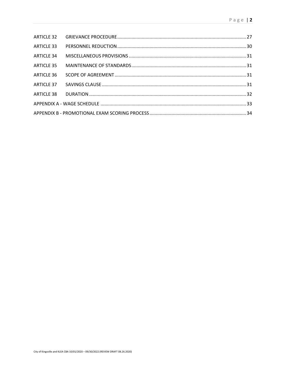| <b>ARTICLE 34</b> |  |
|-------------------|--|
|                   |  |
| <b>ARTICLE 36</b> |  |
|                   |  |
|                   |  |
|                   |  |
|                   |  |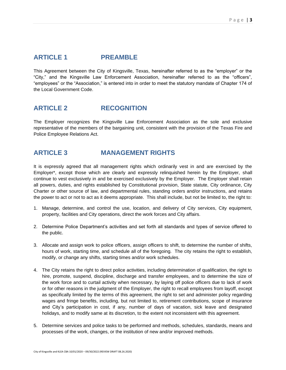### <span id="page-3-0"></span>**ARTICLE 1 PREAMBLE**

This Agreement between the City of Kingsville, Texas, hereinafter referred to as the "employer" or the "City," and the Kingsville Law Enforcement Association, hereinafter referred to as the "officers", "employees" or the "Association," is entered into in order to meet the statutory mandate of Chapter 174 of the Local Government Code.

### <span id="page-3-1"></span>**ARTICLE 2 RECOGNITION**

The Employer recognizes the Kingsville Law Enforcement Association as the sole and exclusive representative of the members of the bargaining unit, consistent with the provision of the Texas Fire and Police Employee Relations Act.

### <span id="page-3-2"></span>**ARTICLE 3 MANAGEMENT RIGHTS**

It is expressly agreed that all management rights which ordinarily vest in and are exercised by the Employer\*, except those which are clearly and expressly relinquished herein by the Employer, shall continue to vest exclusively in and be exercised exclusively by the Employer. The Employer shall retain all powers, duties, and rights established by Constitutional provision, State statute, City ordinance, City Charter or other source of law, and departmental rules, standing orders and/or instructions, and retains the power to act or not to act as it deems appropriate. This shall include, but not be limited to, the right to:

- 1. Manage, determine, and control the use, location, and delivery of City services, City equipment, property, facilities and City operations, direct the work forces and City affairs.
- 2. Determine Police Department's activities and set forth all standards and types of service offered to the public.
- 3. Allocate and assign work to police officers, assign officers to shift, to determine the number of shifts, hours of work, starting time, and schedule all of the foregoing. The city retains the right to establish, modify, or change any shifts, starting times and/or work schedules.
- 4. The City retains the right to direct police activities, including determination of qualification, the right to hire, promote, suspend, discipline, discharge and transfer employees, and to determine the size of the work force and to curtail activity when necessary, by laying off police officers due to lack of work or for other reasons in the judgment of the Employer, the right to recall employees from layoff, except as specifically limited by the terms of this agreement, the right to set and administer policy regarding wages and fringe benefits, including, but not limited to, retirement contributions, scope of insurance and City's participation in cost, if any, number of days of vacation, sick leave and designated holidays, and to modify same at its discretion, to the extent not inconsistent with this agreement.
- 5. Determine services and police tasks to be performed and methods, schedules, standards, means and processes of the work, changes, or the institution of new and/or improved methods.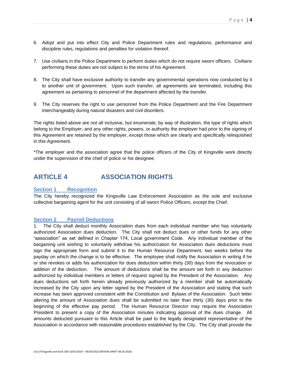- 6. Adopt and put into effect City and Police Department rules and regulations, performance and discipline rules, regulations and penalties for violation thereof.
- 7. Use civilians in the Police Department to perform duties which do not require sworn officers. Civilians performing these duties are not subject to the terms of his Agreement.
- 8. The City shall have exclusive authority to transfer any governmental operations now conducted by it to another unit of government. Upon such transfer, all agreements are terminated, including this agreement as pertaining to personnel of the department affected by the transfer.
- 9. The City reserves the right to use personnel from the Police Department and the Fire Department interchangeably during natural disasters and civil disorders.

The rights listed above are not all inclusive, but enumerate, by way of illustration, the type of rights which belong to the Employer; and any other rights, powers, or authority the employer had prior to the signing of this Agreement are retained by the employer, except those which are clearly and specifically relinquished in this Agreement.

\*The employer and the association agree that the police officers of the City of Kingsville work directly under the supervision of the chief of police or his designee.

### <span id="page-4-0"></span>**ARTICLE 4 ASSOCIATION RIGHTS**

#### **Section 1 Recognition**

The City hereby recognized the Kingsville Law Enforcement Association as the sole and exclusive collective bargaining agent for the unit consisting of all sworn Police Officers, except the Chief.

#### **Section 2 Payroll Deductions**

1. The City shall deduct monthly Association dues from each individual member who has voluntarily authorized Association dues deduction. The City shall not deduct dues or other funds for any other "association" as set defined in Chapter 174, Local government Code. Any individual member of the bargaining unit wishing to voluntarily withdraw his authorization for Association dues deductions must sign the appropriate form and submit it to the Human Resource Department, two weeks before the payday on which the change is to be effective. The employee shall notify the Association in writing if he or she revokes or adds his authorization for dues deduction within thirty (30) days from the revocation or addition of the deduction. The amount of deductions shall be the amount set forth in any deduction authorized by individual members or letters of request signed by the President of the Association. Any dues deductions set forth herein already previously authorized by a member shall be automatically increased by the City upon any letter signed by the President of the Association and stating that such increase has been approved consistent with the Constitution and Bylaws of the Association. Such letter altering the amount of Association dues shall be submitted no later than thirty (30) days prior to the beginning of the effective pay period. The Human Resource Director may require the Association President to present a copy of the Association minutes indicating approval of the dues change. All amounts deducted pursuant to this Article shall be paid to the legally designated representative of the Association in accordance with reasonable procedures established by the City. The City shall provide the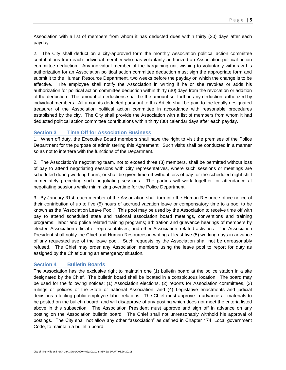Association with a list of members from whom it has deducted dues within thirty (30) days after each payday.

2. The City shall deduct on a city-approved form the monthly Association political action committee contributions from each individual member who has voluntarily authorized an Association political action committee deduction. Any individual member of the bargaining unit wishing to voluntarily withdraw his authorization for an Association political action committee deduction must sign the appropriate form and submit it to the Human Resource Department, two weeks before the payday on which the change is to be effective. The employee shall notify the Association in writing if he or she revokes or adds his authorization for political action committee deduction within thirty (30) days from the revocation or addition of the deduction. The amount of deductions shall be the amount set forth in any deduction authorized by individual members. All amounts deducted pursuant to this Article shall be paid to the legally designated treasurer of the Association political action committee in accordance with reasonable procedures established by the city. The City shall provide the Association with a list of members from whom it had deducted political action committee contributions within thirty (30) calendar days after each payday.

#### **Section 3 Time Off for Association Business**

1. When off duty, the Executive Board members shall have the right to visit the premises of the Police Department for the purpose of administering this Agreement. Such visits shall be conducted in a manner so as not to interfere with the functions of the Department.

2. The Association's negotiating team, not to exceed three (3) members, shall be permitted without loss of pay to attend negotiating sessions with City representatives, where such sessions or meetings are scheduled during working hours; or shall be given time off without loss of pay for the scheduled night shift immediately preceding such negotiating sessions. The parties will work together for attendance at negotiating sessions while minimizing overtime for the Police Department.

3. By January 31st, each member of the Association shall turn into the Human Resource office notice of their contribution of up to five (5) hours of accrued vacation leave or compensatory time to a pool to be known as the "Association Leave Pool." This pool may be used by the Association to receive time off with pay to attend scheduled state and national association board meetings, conventions and training programs; labor and police related training programs; arbitration and grievance hearings of members by elected Association official or representatives; and other Association–related activities. The Association President shall notify the Chief and Human Resources in writing at least five (5) working days in advance of any requested use of the leave pool. Such requests by the Association shall not be unreasonably refused. The Chief may order any Association members using the leave pool to report for duty as assigned by the Chief during an emergency situation.

#### **Section 4 Bulletin Boards**

The Association has the exclusive right to maintain one (1) bulletin board at the police station in a site designated by the Chief. The bulletin board shall be located in a conspicuous location. The board may be used for the following notices: (1) Association elections, (2) reports for Association committees, (3) rulings or policies of the State or national Association, and (4) Legislative enactments and judicial decisions affecting public employee labor relations. The Chief must approve in advance all materials to be posted on the bulletin board, and will disapprove of any posting which does not meet the criteria listed above in this subsection. The Association President must approve and sign off in advance on any posting on the Association bulletin board. The Chief shall not unreasonably withhold his approval of postings. The City shall not allow any other "association" as defined in Chapter 174, Local government Code, to maintain a bulletin board.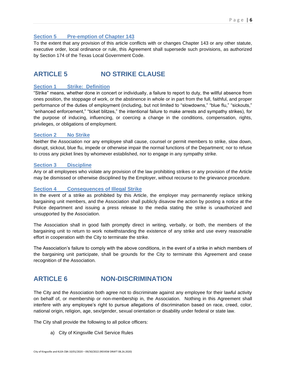### **Section 5 Pre-emption of Chapter 143**

To the extent that any provision of this article conflicts with or changes Chapter 143 or any other statute, executive order, local ordinance or rule, this Agreement shall supersede such provisions, as authorized by Section 174 of the Texas Local Government Code.

### <span id="page-6-0"></span>**ARTICLE 5 NO STRIKE CLAUSE**

#### **Section 1 Strike: Definition**

"Strike" means, whether done in concert or individually, a failure to report to duty, the willful absence from ones position, the stoppage of work, or the abstinence in whole or in part from the full, faithful, and proper performance of the duties of employment (including, but not limited to "slowdowns," "blue flu," "sickouts," "enhanced enforcement," "ticket blitzes," the intentional failure to make arrests and sympathy strikes), for the purpose of inducing, influencing, or coercing a change in the conditions, compensation, rights, privileges, or obligations of employment.

#### **Section 2 No Strike**

Neither the Association nor any employee shall cause, counsel or permit members to strike, slow down, disrupt, sickout, blue flu, impede or otherwise impair the normal functions of the Department; nor to refuse to cross any picket lines by whomever established, nor to engage in any sympathy strike.

#### **Section 3 Discipline**

Any or all employees who violate any provision of the law prohibiting strikes or any provision of the Article may be dismissed or otherwise disciplined by the Employer, without recourse to the grievance procedure.

#### **Section 4 Consequences of Illegal Strike**

In the event of a strike as prohibited by this Article, the employer may permanently replace striking bargaining unit members, and the Association shall publicly disavow the action by posting a notice at the Police department and issuing a press release to the media stating the strike is unauthorized and unsupported by the Association.

The Association shall in good faith promptly direct in writing, verbally, or both, the members of the bargaining unit to return to work notwithstanding the existence of any strike and use every reasonable effort in cooperation with the City to terminate the strike.

The Association's failure to comply with the above conditions, in the event of a strike in which members of the bargaining unit participate, shall be grounds for the City to terminate this Agreement and cease recognition of the Association.

### <span id="page-6-1"></span>**ARTICLE 6 NON-DISCRIMINATION**

The City and the Association both agree not to discriminate against any employee for their lawful activity on behalf of, or membership or non-membership in, the Association. Nothing in this Agreement shall interfere with any employee's right to pursue allegations of discrimination based on race, creed, color, national origin, religion, age, sex/gender, sexual orientation or disability under federal or state law.

The City shall provide the following to all police officers:

a) City of Kingsville Civil Service Rules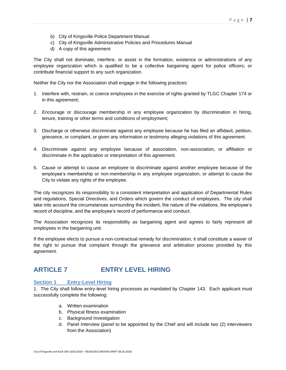- b) City of Kingsville Police Department Manual
- c) City of Kingsville Administrative Policies and Procedures Manual
- d) A copy of this agreement

The City shall not dominate, interfere, or assist in the formation, existence or administrations of any employee organization which is qualified to be a collective bargaining agent for police officers; or contribute financial support to any such organization.

Neither the City nor the Association shall engage in the following practices:

- 1. Interfere with, restrain, or coerce employees in the exercise of rights granted by TLGC Chapter 174 or in this agreement;
- 2. Encourage or discourage membership in any employee organization by discrimination in hiring, tenure, training or other terms and conditions of employment;
- 3. Discharge or otherwise discriminate against any employee because he has filed an affidavit, petition, grievance, or complaint, or given any information or testimony alleging violations of this agreement.
- 4. Discriminate against any employee because of association, non-association, or affiliation or discriminate in the application or interpretation of this agreement.
- 5. Cause or attempt to cause an employee to discriminate against another employee because of the employee's membership or non-membership in any employee organization, or attempt to cause the City to violate any rights of the employee.

The city recognizes its responsibility to a consistent interpretation and application of Departmental Rules and regulations, Special Directives, and Orders which govern the conduct of employees. The city shall take into account the circumstances surrounding the incident, the nature of the violations, the employee's record of discipline, and the employee's record of performance and conduct.

The Association recognizes its responsibility as bargaining agent and agrees to fairly represent all employees in the bargaining unit.

If the employee elects to pursue a non-contractual remedy for discrimination, it shall constitute a waiver of the right to pursue that complaint through the grievance and arbitration process provided by this agreement.

### <span id="page-7-0"></span>**ARTICLE 7 ENTRY LEVEL HIRING**

#### **Section 1 Entry-Level Hiring**

1. The City shall follow entry-level hiring processes as mandated by Chapter 143. Each applicant must successfully complete the following:

- a. Written examination
- b. Physical fitness examination
- c. Background Investigation
- d. Panel Interview (panel to be appointed by the Chief and will include two (2) interviewers from the Association)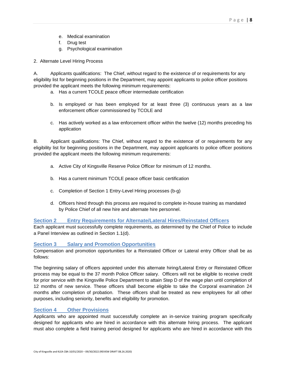- e. Medical examination
- f. Drug test
- g. Psychological examination

2. Alternate Level Hiring Process

A. Applicants qualifications: The Chief, without regard to the existence of or requirements for any eligibility list for beginning positions in the Department, may appoint applicants to police officer positions provided the applicant meets the following minimum requirements:

- a. Has a current TCOLE peace officer intermediate certification
- b. Is employed or has been employed for at least three (3) continuous years as a law enforcement officer commissioned by TCOLE and
- c. Has actively worked as a law enforcement officer within the twelve (12) months preceding his application

B. Applicant qualifications: The Chief, without regard to the existence of or requirements for any eligibility list for beginning positions in the Department, may appoint applicants to police officer positions provided the applicant meets the following minimum requirements:

- a. Active City of Kingsville Reserve Police Officer for minimum of 12 months.
- b. Has a current minimum TCOLE peace officer basic certification
- c. Completion of Section 1 Entry-Level Hiring processes (b-g)
- d. Officers hired through this process are required to complete in-house training as mandated by Police Chief of all new hire and alternate hire personnel.

#### **Section 2 Entry Requirements for Alternate/Lateral Hires/Reinstated Officers**

Each applicant must successfully complete requirements, as determined by the Chief of Police to include a Panel Interview as outlined in Section 1.1(d).

#### **Section 3 Salary and Promotion Opportunities**

Compensation and promotion opportunities for a Reinstated Officer or Lateral entry Officer shall be as follows:

The beginning salary of officers appointed under this alternate hiring/Lateral Entry or Reinstated Officer process may be equal to the 37 month Police Officer salary. Officers will not be eligible to receive credit for prior service with the Kingsville Police Department to attain Step D of the wage plan until completion of 12 months of new service. These officers shall become eligible to take the Corporal examination 24 months after completion of probation. These officers shall be treated as new employees for all other purposes, including seniority, benefits and eligibility for promotion.

#### **Section 4 Other Provisions**

Applicants who are appointed must successfully complete an in-service training program specifically designed for applicants who are hired in accordance with this alternate hiring process. The applicant must also complete a field training period designed for applicants who are hired in accordance with this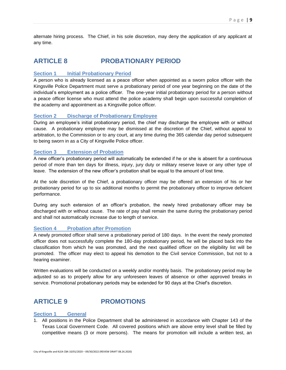alternate hiring process. The Chief, in his sole discretion, may deny the application of any applicant at any time.

### <span id="page-9-0"></span>**ARTICLE 8 PROBATIONARY PERIOD**

#### **Section 1 Initial Probationary Period**

A person who is already licensed as a peace officer when appointed as a sworn police officer with the Kingsville Police Department must serve a probationary period of one year beginning on the date of the individual's employment as a police officer. The one-year initial probationary period for a person without a peace officer license who must attend the police academy shall begin upon successful completion of the academy and appointment as a Kingsville police officer.

#### **Section 2 Discharge of Probationary Employee**

During an employee's initial probationary period, the chief may discharge the employee with or without cause. A probationary employee may be dismissed at the discretion of the Chief, without appeal to arbitration, to the Commission or to any court, at any time during the 365 calendar day period subsequent to being sworn in as a City of Kingsville Police officer.

#### **Section 3 Extension of Probation**

A new officer's probationary period will automatically be extended if he or she is absent for a continuous period of more than ten days for illness, injury, jury duty or military reserve leave or any other type of leave. The extension of the new officer's probation shall be equal to the amount of lost time.

At the sole discretion of the Chief, a probationary officer may be offered an extension of his or her probationary period for up to six additional months to permit the probationary officer to improve deficient performance.

During any such extension of an officer's probation, the newly hired probationary officer may be discharged with or without cause. The rate of pay shall remain the same during the probationary period and shall not automatically increase due to length of service.

#### **Section 4 Probation after Promotion**

A newly promoted officer shall serve a probationary period of 180 days. In the event the newly promoted officer does not successfully complete the 180-day probationary period, he will be placed back into the classification from which he was promoted, and the next qualified officer on the eligibility list will be promoted. The officer may elect to appeal his demotion to the Civil service Commission, but not to a hearing examiner.

Written evaluations will be conducted on a weekly and/or monthly basis. The probationary period may be adjusted so as to properly allow for any unforeseen leaves of absence or other approved breaks in service. Promotional probationary periods may be extended for 90 days at the Chief's discretion.

### <span id="page-9-1"></span>**ARTICLE 9 PROMOTIONS**

#### **Section 1 General**

1. All positions in the Police Department shall be administered in accordance with Chapter 143 of the Texas Local Government Code. All covered positions which are above entry level shall be filled by competitive means (3 or more persons). The means for promotion will include a written test, an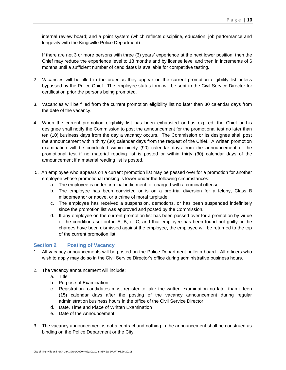internal review board; and a point system (which reflects discipline, education, job performance and longevity with the Kingsville Police Department).

If there are not 3 or more persons with three (3) years' experience at the next lower position, then the Chief may reduce the experience level to 18 months and by license level and then in increments of 6 months until a sufficient number of candidates is available for competitive testing.

- 2. Vacancies will be filled in the order as they appear on the current promotion eligibility list unless bypassed by the Police Chief. The employee status form will be sent to the Civil Service Director for certification prior the persons being promoted.
- 3. Vacancies will be filled from the current promotion eligibility list no later than 30 calendar days from the date of the vacancy.
- 4. When the current promotion eligibility list has been exhausted or has expired, the Chief or his designee shall notify the Commission to post the announcement for the promotional test no later than ten (10) business days from the day a vacancy occurs. The Commission or its designee shall post the announcement within thirty (30) calendar days from the request of the Chief. A written promotion examination will be conducted within ninety (90) calendar days from the announcement of the promotional test if no material reading list is posted or within thirty (30) calendar days of the announcement if a material reading list is posted.
- 5. An employee who appears on a current promotion list may be passed over for a promotion for another employee whose promotional ranking is lower under the following circumstances:
	- a. The employee is under criminal indictment, or charged with a criminal offense
	- b. The employee has been convicted or is on a pre-trial diversion for a felony, Class B misdemeanor or above, or a crime of moral turpitude.
	- c. The employee has received a suspension, demotions, or has been suspended indefinitely since the promotion list was approved and posted by the Commission.
	- d. If any employee on the current promotion list has been passed over for a promotion by virtue of the conditions set out in A, B, or C, and that employee has been found not guilty or the charges have been dismissed against the employee, the employee will be returned to the top of the current promotion list.

#### **Section 2 Posting of Vacancy**

- 1. All vacancy announcements will be posted on the Police Department bulletin board. All officers who wish to apply may do so in the Civil Service Director's office during administrative business hours.
- 2. The vacancy announcement will include:
	- a. Title
	- b. Purpose of Examination
	- c. Registration: candidates must register to take the written examination no later than fifteen (15) calendar days after the posting of the vacancy announcement during regular administration business hours in the office of the Civil Service Director.
	- d. Date, Time and Place of Written Examination
	- e. Date of the Announcement
- 3. The vacancy announcement is not a contract and nothing in the announcement shall be construed as binding on the Police Department or the City.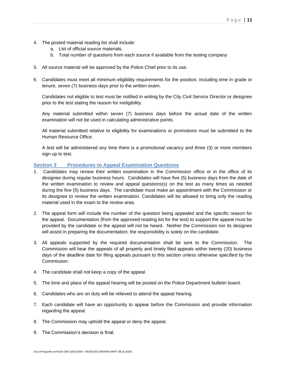- 4. The posted material reading list shall include:
	- a. List of official source materials,
	- b. Total number of questions from each source if available from the testing company
- 5. All source material will be approved by the Police Chief prior to its use.
- 6. Candidates must meet all minimum eligibility requirements for the position, including time in grade or tenure, seven (7) business days prior to the written exam.

Candidates not eligible to test must be notified in writing by the City Civil Service Director or designee prior to the test stating the reason for ineligibility.

Any material submitted within seven (7) business days before the actual date of the written examination will not be used in calculating administrative points.

All material submitted relative to eligibility for examinations or promotions must be submitted to the Human Resource Office.

A test will be administered any time there is a promotional vacancy and three (3) or more members sign up to test.

#### **Section 3 Procedures to Appeal Examination Questions**

- 1. Candidates may review their written examination in the Commission office or in the office of its designee during regular business hours. Candidates will have five (5) business days from the date of the written examination to review and appeal questions(s) on the test as many times as needed during the five (5) business days. The candidate must make an appointment with the Commission or its designee to review the written examination. Candidates will be allowed to bring only the reading material used in the exam to the review area.
- 2. The appeal form will include the number of the question being appealed and the specific reason for the appeal. Documentation (from the approved reading list for the test) to support the appeal must be provided by the candidate or the appeal will not be heard. Neither the Commission nor its designee will assist in preparing the documentation; the responsibility is solely on the candidate.
- 3. All appeals supported by the required documentation shall be sent to the Commission. The Commission will hear the appeals of all properly and timely filed appeals within twenty (20) business days of the deadline date for filing appeals pursuant to this section unless otherwise specified by the Commission.
- 4. The candidate shall not keep a copy of the appeal.
- 5. The time and place of the appeal hearing will be posted on the Police Department bulletin board.
- 6. Candidates who are on duty will be relieved to attend the appeal hearing.
- 7. Each candidate will have an opportunity to appear before the Commission and provide information regarding the appeal.
- 8. The Commission may uphold the appeal or deny the appeal.
- 9. The Commission's decision is final.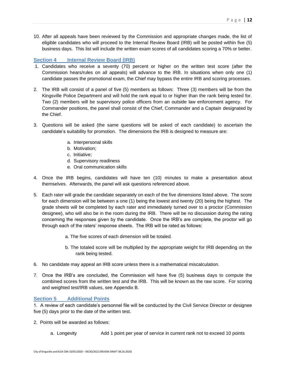10. After all appeals have been reviewed by the Commission and appropriate changes made, the list of eligible candidates who will proceed to the Internal Review Board (IRB) will be posted within five (5) business days. This list will include the written exam scores of all candidates scoring a 70% or better.

#### **Section 4 Internal Review Board (IRB)**

- 1. Candidates who receive a seventy (70) percent or higher on the written test score (after the Commission hears/rules on all appeals) will advance to the IRB. In situations when only one (1) candidate passes the promotional exam, the Chief may bypass the entire IRB and scoring processes.
- 2. The IRB will consist of a panel of five (5) members as follows: Three (3) members will be from the Kingsville Police Department and will hold the rank equal to or higher than the rank being tested for. Two (2) members will be supervisory police officers from an outside law enforcement agency. For Commander positions, the panel shall consist of the Chief, Commander and a Captain designated by the Chief.
- 3. Questions will be asked (the same questions will be asked of each candidate) to ascertain the candidate's suitability for promotion. The dimensions the IRB is designed to measure are:
	- a. Interpersonal skills
	- b. Motivation;
	- c. Initiative;
	- d. Supervisory readiness
	- e. Oral communication skills
- 4. Once the IRB begins, candidates will have ten (10) minutes to make a presentation about themselves. Afterwards, the panel will ask questions referenced above.
- 5. Each rater will grade the candidate separately on each of the five dimensions listed above. The score for each dimension will be between a one (1) being the lowest and twenty (20) being the highest. The grade sheets will be completed by each rater and immediately turned over to a proctor (Commission designee), who will also be in the room during the IRB. There will be no discussion during the rating concerning the responses given by the candidate. Once the IRB's are complete, the proctor will go through each of the raters' response sheets. The IRB will be rated as follows:
	- a. The five scores of each dimension will be totaled.
	- b. The totaled score will be multiplied by the appropriate weight for IRB depending on the rank being tested.
- 6. No candidate may appeal an IRB score unless there is a mathematical miscalculation.
- 7. Once the IRB's are concluded, the Commission will have five (5) business days to compute the combined scores from the written test and the IRB. This will be known as the raw score. For scoring and weighted test/IRB values, see Appendix B.

#### **Section 5 Additional Points**

1. A review of each candidate's personnel file will be conducted by the Civil Service Director or designee five (5) days prior to the date of the written test.

- 2. Points will be awarded as follows:
	- a. Longevity Add 1 point per year of service in current rank not to exceed 10 points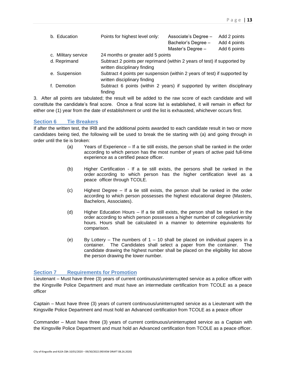| b. Education        | Points for highest level only:                                                                            | Associate's Degree - | Add 2 points |
|---------------------|-----------------------------------------------------------------------------------------------------------|----------------------|--------------|
|                     |                                                                                                           | Bachelor's Degree -  | Add 4 points |
|                     |                                                                                                           | Master's Degree -    | Add 6 points |
| c. Military service | 24 months or greater add 5 points                                                                         |                      |              |
| d. Reprimand        | Subtract 2 points per reprimand (within 2 years of test) if supported by<br>written disciplinary finding  |                      |              |
| e. Suspension       | Subtract 4 points per suspension (within 2 years of test) if supported by<br>written disciplinary finding |                      |              |

f. Demotion Subtract 6 points (within 2 years) if supported by written disciplinary finding

3. After all points are tabulated; the result will be added to the raw score of each candidate and will constitute the candidate's final score. Once a final score list is established, it will remain in effect for either one (1) year from the date of establishment or until the list is exhausted, whichever occurs first.

#### **Section 6 Tie Breakers**

If after the written test, the IRB and the additional points awarded to each candidate result in two or more candidates being tied, the following will be used to break the tie starting with (a) and going through in order until the tie is broken:

- (a) Years of Experience If a tie still exists, the person shall be ranked in the order according to which person has the most number of years of active paid full-time experience as a certified peace officer.
- (b) Higher Certification If a tie still exists, the persons shall be ranked in the order according to which person has the higher certification level as a peace officer through TCOLE.
- (c) Highest Degree If a tie still exists, the person shall be ranked in the order according to which person possesses the highest educational degree (Masters, Bachelors, Associates).
- (d) Higher Education Hours If a tie still exists, the person shall be ranked in the order according to which person possesses a higher number of college/university hours. Hours shall be calculated in a manner to determine equivalents for comparison.
- (e) By Lottery The numbers of  $1 10$  shall be placed on individual papers in a container. The Candidates shall select a paper from the container. The candidate drawing the highest number shall be placed on the eligibility list above the person drawing the lower number.

#### **Section 7 Requirements for Promotion**

Lieutenant – Must have three (3) years of current continuous/uninterrupted service as a police officer with the Kingsville Police Department and must have an intermediate certification from TCOLE as a peace officer

Captain – Must have three (3) years of current continuous/uninterrupted service as a Lieutenant with the Kingsville Police Department and must hold an Advanced certification from TCOLE as a peace officer

Commander – Must have three (3) years of current continuous/uninterrupted service as a Captain with the Kingsville Police Department and must hold an Advanced certification from TCOLE as a peace officer.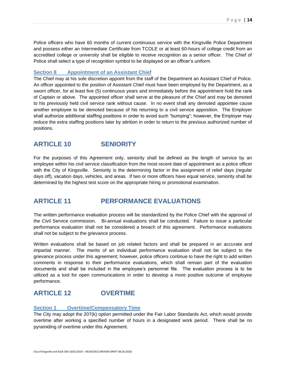Police officers who have 60 months of current continuous service with the Kingsville Police Department and possess either an Intermediate Certificate from TCOLE or at least 60-hours of college credit from an accredited college or university shall be eligible to receive recognition as a senior officer. The Chief of Police shall select a type of recognition symbol to be displayed on an officer's uniform.

#### **Section 8 Appointment of an Assistant Chief**

The Chief may at his sole discretion appoint from the staff of the Department an Assistant Chief of Police. An officer appointed to the position of Assistant Chief must have been employed by the Department, as a sworn officer, for at least five (5) continuous years and immediately before the appointment hold the rank of Captain or above. The appointed officer shall serve at the pleasure of the Chief and may be demoted to his previously held civil service rank without cause. In no event shall any demoted appointee cause another employee to be demoted because of his returning to a civil service apposition. The Employer shall authorize additional staffing positions in order to avoid such "bumping"; however, the Employer may reduce the extra staffing positions later by attrition in order to return to the previous authorized number of positions.

### <span id="page-14-0"></span>**ARTICLE 10 SENIORITY**

For the purposes of this Agreement only, seniority shall be defined as the length of service by an employee within his civil service classification from the most recent date of appointment as a police officer with the City of Kingsville. Seniority is the determining factor in the assignment of relief days (regular days off), vacation days, vehicles, and areas. If two or more officers have equal service, seniority shall be determined by the highest test score on the appropriate hiring or promotional examination.

### <span id="page-14-1"></span>**ARTICLE 11 PERFORMANCE EVALUATIONS**

The written performance evaluation process will be standardized by the Police Chief with the approval of the Civil Service commission. Bi-annual evaluations shall be conducted. Failure to issue a particular performance evaluation shall not be considered a breach of this agreement. Performance evaluations shall not be subject to the grievance process.

Written evaluations shall be based on job related factors and shall be prepared in an accurate and impartial manner. The merits of an individual performance evaluation shall not be subject to the grievance process under this agreement; however, police officers continue to have the right to add written comments in response to their performance evaluations, which shall remain part of the evaluation documents and shall be included in the employee's personnel file. The evaluation process is to be utilized as a tool for open communications in order to develop a more positive outcome of employee performance.

### <span id="page-14-2"></span>**ARTICLE 12 OVERTIME**

#### **Section 1 Overtime/Compensatory Time**

The City may adopt the 207(k) option permitted under the Fair Labor Standards Act, which would provide overtime after working a specified number of hours in a designated work period. There shall be no pyramiding of overtime under this Agreement.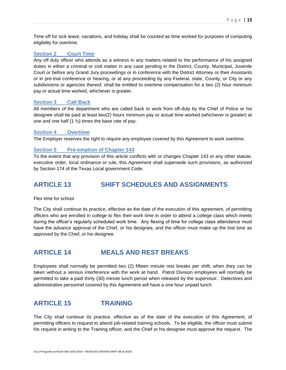Time off for sick leave, vacations, and holiday shall be counted as time worked for purposes of computing eligibility for overtime.

#### **Section 2 Court Time**

Any off duty officer who attends as a witness in any matters related to the performance of his assigned duties in either a criminal or civil matter in any case pending in the District, County, Municipal, Juvenile Court or before any Grand Jury proceedings or in conference with the District Attorney or their Assistants or in pre-trial conference or hearing, or at any proceeding by any Federal, state, County, or City or any subdivisions or agencies thereof, shall be entitled to overtime compensation for a two (2) hour minimum pay or actual time worked, whichever is greater.

#### **Section 3 Call Back**

All members of the department who are called back to work from off-duty by the Chief of Police or his designee shall be paid at least two(2) hours minimum pay or actual time worked (whichever is greater) at one and one half  $(1 \frac{1}{2})$  times the base rate of pay.

#### **Section 4 Overtime**

The Employer reserves the right to require any employee covered by this Agreement to work overtime.

#### **Section 5 Pre-emption of Chapter 143**

To the extent that any provision of this article conflicts with or changes Chapter 143 or any other statute, executive order, local ordinance or rule, this Agreement shall supersede such provisions, as authorized by Section 174 of the Texas Local government Code.

### <span id="page-15-0"></span>**ARTICLE 13 SHIFT SCHEDULES AND ASSIGNMENTS**

Flex time for school

The City shall continue its practice, effective as the date of the execution of this agreement, of permitting officers who are enrolled in college to flex their work time in order to attend a college class which meets during the officer's regularly scheduled work time. Any flexing of time for college class attendance must have the advance approval of the Chief, or his designee, and the officer must make up the lost time as approved by the Chief, or his designee.

### <span id="page-15-1"></span>**ARTICLE 14 MEALS AND REST BREAKS**

Employees shall normally be permitted two (2) fifteen minute rest breaks per shift, when they can be taken without a serious interference with the work at hand. Patrol Division employees will normally be permitted to take a paid thirty (30) minute lunch period when released by the supervisor. Detectives and administrative personnel covered by this Agreement will have a one hour unpaid lunch.

### <span id="page-15-2"></span>**ARTICLE 15 TRAINING**

The City shall continue its practice, effective as of the date of the execution of this Agreement, of permitting officers to request to attend job-related training schools. To be eligible, the officer must submit his request in writing to the Training officer, and the Chief or his designee must approve the request. The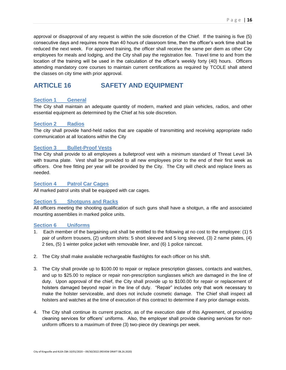approval or disapproval of any request is within the sole discretion of the Chief. If the training is five (5) consecutive days and requires more than 40 hours of classroom time, then the officer's work time shall be reduced the next week. For approved training, the officer shall receive the same per diem as other City employees for meals and lodging, and the City shall pay the registration fee. Travel time to and from the location of the training will be used in the calculation of the officer's weekly forty (40) hours. Officers attending mandatory core courses to maintain current certifications as required by TCOLE shall attend the classes on city time with prior approval.

### <span id="page-16-0"></span>**ARTICLE 16 SAFETY AND EQUIPMENT**

#### **Section 1 General**

The City shall maintain an adequate quantity of modern, marked and plain vehicles, radios, and other essential equipment as determined by the Chief at his sole discretion.

#### **Section 2 Radios**

The city shall provide hand-held radios that are capable of transmitting and receiving appropriate radio communication at all locations within the City

#### **Section 3 Bullet-Proof Vests**

The City shall provide to all employees a bulletproof vest with a minimum standard of Threat Level 3A with trauma plate. Vest shall be provided to all new employees prior to the end of their first week as officers. One free fitting per year will be provided by the City. The City will check and replace liners as needed.

#### **Section 4 Patrol Car Cages**

All marked patrol units shall be equipped with car cages.

#### **Section 5 Shotguns and Racks**

All officers meeting the shooting qualification of such guns shall have a shotgun, a rifle and associated mounting assemblies in marked police units.

#### **Section 6 Uniforms**

- 1. Each member of the bargaining unit shall be entitled to the following at no cost to the employee: (1) 5 pair of uniform trousers, (2) uniform shirts: 5 short sleeved and 5 long sleeved, (3) 2 name plates, (4) 2 ties, (5) 1 winter police jacket with removable liner, and (6) 1 police raincoat.
- 2. The City shall make available rechargeable flashlights for each officer on his shift.
- 3. The City shall provide up to \$100.00 to repair or replace prescription glasses, contacts and watches, and up to \$25.00 to replace or repair non-prescription sunglasses which are damaged in the line of duty. Upon approval of the chief, the City shall provide up to \$100.00 for repair or replacement of holsters damaged beyond repair in the line of duty. "Repair" includes only that work necessary to make the holster serviceable, and does not include cosmetic damage. The Chief shall inspect all holsters and watches at the time of execution of this contract to determine if any prior damage exists.
- 4. The City shall continue its current practice, as of the execution date of this Agreement, of providing cleaning services for officers' uniforms. Also, the employer shall provide cleaning services for nonuniform officers to a maximum of three (3) two-piece dry cleanings per week.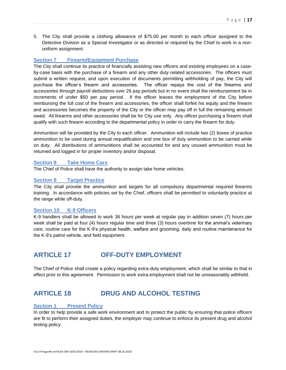5. The City shall provide a clothing allowance of \$75.00 per month to each officer assigned to the Detective Division as a Special Investigator or as directed or required by the Chief to work in a nonuniform assignment.

#### **Section 7 Firearm/Equipment Purchase**

The City shall continue its practice of financially assisting new officers and existing employees on a caseby-case basis with the purchase of a firearm and any other duty related accessories. The officers must submit a written request, and upon execution of documents permitting withholding of pay, the City will purchase the officer's firearm and accessories. The officer repays the cost of the firearms and accessories through payroll deductions over 26 pay periods but in no event shall the reimbursement be in increments of under \$50 per pay period. If the officer leaves the employment of the City before reimbursing the full cost of the firearm and accessories, the officer shall forfeit his equity and the firearm and accessories becomes the property of the City or the officer may pay off in full the remaining amount owed. All firearms and other accessories shall be for City use only. Any officer purchasing a firearm shall qualify with such firearm according to the departmental policy in order to carry the firearm for duty.

Ammunition will be provided by the City to each officer. Ammunition will include two (2) boxes of practice ammunition to be used during annual requalification and one box of duty ammunition to be carried while on duty. All distributions of ammunitions shall be accounted for and any unused ammunition must be returned and logged in for proper inventory and/or disposal.

#### **Section 8 Take Home Cars**

The Chief of Police shall have the authority to assign take home vehicles.

#### **Section 9 Target Practice**

The City shall provide the ammunition and targets for all compulsory departmental required firearms training. In accordance with policies set by the Chief, officers shall be permitted to voluntarily practice at the range while off-duty.

#### **Section 10 K-9 Officers**

K-9 handlers shall be allowed to work 36 hours per week at regular pay in addition seven (7) hours per week shall be paid at four (4) hours regular time and three (3) hours overtime for the animal's veterinary care, routine care for the K-9's physical health, welfare and grooming, daily and routine maintenance for the K-9's patrol vehicle, and field equipment.

### <span id="page-17-0"></span>**ARTICLE 17 OFF-DUTY EMPLOYMENT**

The Chief of Police shall create a policy regarding extra-duty employment, which shall be similar to that in effect prior to this agreement. Permission to work extra-employment shall not be unreasonably withheld.

### <span id="page-17-1"></span>**ARTICLE 18 DRUG AND ALCOHOL TESTING**

#### **Section 1 Present Policy**

In order to help provide a safe work environment and to protect the public by ensuring that police officers are fit to perform their assigned duties, the employer may continue to enforce its present drug and alcohol testing policy.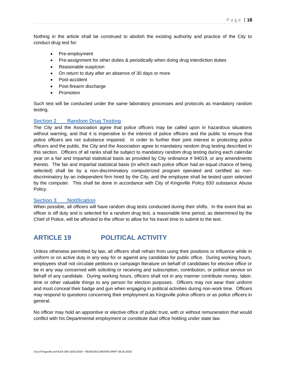Nothing in the article shall be construed to abolish the existing authority and practice of the City to conduct drug test for:

- Pre-employment
- Pre-assignment for other duties & periodically when doing drug interdiction duties
- Reasonable suspicion
- On return to duty after an absence of 30 days or more
- Post-accident
- Post-firearm discharge
- Promotion

Such test will be conducted under the same laboratory processes and protocols as mandatory random testing.

#### **Section 2 Random Drug Testing**

The City and the Association agree that police officers may be called upon in hazardous situations without warning, and that it is imperative to the interest of police officers and the public to ensure that police officers are not substance impaired. In order to further their joint interest in protecting police officers and the public, the City and the Association agree to mandatory random drug testing described in this section. Officers of all ranks shall be subject to mandatory random drug testing during each calendar year on a fair and impartial statistical basis as provided by City ordinance # 94019, or any amendments thereto. The fair and impartial statistical basis (in which each police officer had an equal chance of being selected) shall be by a non-discriminatory computerized program operated and certified as nondiscriminatory by an independent firm hired by the City, and the employee shall be tested upon selected by the computer. This shall be done in accordance with City of Kingsville Policy 830 substance Abuse Policy.

#### **Section 3 Notification**

When possible, all officers will have random drug tests conducted during their shifts. In the event that an officer is off duty and is selected for a random drug test, a reasonable time period, as determined by the Chief of Police, will be afforded to the officer to allow for his travel time to submit to the test.

### <span id="page-18-0"></span>**ARTICLE 19 POLITICAL ACTIVITY**

Unless otherwise permitted by law, all officers shall refrain from using their positions or influence while in uniform or on active duty in any way for or against any candidate for public office. During working hours, employees shall not circulate petitions or campaign literature on behalf of candidates for elective office or be in any way concerned with soliciting or receiving and subscription, contribution, or political service on behalf of any candidate. During working hours, officers shall not in any manner contribute money, labor, time or other valuable things to any person for election purposes. Officers may not wear their uniform and must conceal their badge and gun when engaging in political activities during non-work time. Officers may respond to questions concerning their employment as Kingsville police officers or as police officers in general.

No officer may hold an appointive or elective office of public trust, with or without remuneration that would conflict with his Departmental employment or constitute dual office holding under state law.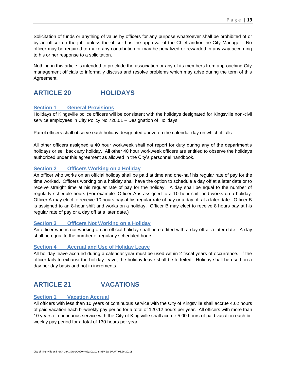Solicitation of funds or anything of value by officers for any purpose whatsoever shall be prohibited of or by an officer on the job, unless the officer has the approval of the Chief and/or the City Manager. No officer may be required to make any contribution or may be penalized or rewarded in any way according to his or her response to a solicitation.

Nothing in this article is intended to preclude the association or any of its members from approaching City management officials to informally discuss and resolve problems which may arise during the term of this Agreement.

### <span id="page-19-0"></span>**ARTICLE 20 HOLIDAYS**

#### **Section 1 General Provisions**

Holidays of Kingsville police officers will be consistent with the holidays designated for Kingsville non-civil service employees in City Policy No 720.01 – Designation of Holidays

Patrol officers shall observe each holiday designated above on the calendar day on which it falls.

All other officers assigned a 40 hour workweek shall not report for duty during any of the department's holidays or sell back any holiday. All other 40 hour workweek officers are entitled to observe the holidays authorized under this agreement as allowed in the City's personnel handbook.

#### **Section 2 Officers Working on a Holiday**

An officer who works on an official holiday shall be paid at time and one-half his regular rate of pay for the time worked. Officers working on a holiday shall have the option to schedule a day off at a later date or to receive straight time at his regular rate of pay for the holiday. A day shall be equal to the number of regularly schedule hours (For example: Officer A is assigned to a 10-hour shift and works on a holiday. Officer A may elect to receive 10 hours pay at his regular rate of pay or a day off at a later date. Officer B is assigned to an 8-hour shift and works on a holiday. Officer B may elect to receive 8 hours pay at his regular rate of pay or a day off at a later date.)

#### **Section 3 Officers Not Working on a Holiday**

An officer who is not working on an official holiday shall be credited with a day off at a later date. A day shall be equal to the number of regularly scheduled hours.

#### **Section 4 Accrual and Use of Holiday Leave**

All holiday leave accrued during a calendar year must be used within 2 fiscal years of occurrence. If the officer fails to exhaust the holiday leave, the holiday leave shall be forfeited. Holiday shall be used on a day per day basis and not in increments.

### <span id="page-19-1"></span>**ARTICLE 21 VACATIONS**

#### **Section 1 Vacation Accrual**

All officers with less than 10 years of continuous service with the City of Kingsville shall accrue 4.62 hours of paid vacation each bi-weekly pay period for a total of 120.12 hours per year. All officers with more than 10 years of continuous service with the City of Kingsville shall accrue 5.00 hours of paid vacation each biweekly pay period for a total of 130 hours per year.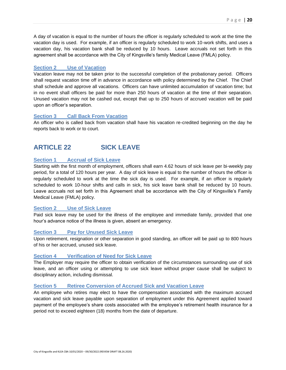A day of vacation is equal to the number of hours the officer is regularly scheduled to work at the time the vacation day is used. For example, if an officer is regularly scheduled to work 10-work shifts, and uses a vacation day, his vacation bank shall be reduced by 10 hours. Leave accruals not set forth in this agreement shall be accordance with the City of Kingsville's family Medical Leave (FMLA) policy.

#### **Section 2 Use of Vacation**

Vacation leave may not be taken prior to the successful completion of the probationary period. Officers shall request vacation time off in advance in accordance with policy determined by the Chief. The Chief shall schedule and approve all vacations. Officers can have unlimited accumulation of vacation time; but in no event shall officers be paid for more than 250 hours of vacation at the time of their separation. Unused vacation may not be cashed out, except that up to 250 hours of accrued vacation will be paid upon an officer's separation.

#### **Section 3 Call Back From Vacation**

An officer who is called back from vacation shall have his vacation re-credited beginning on the day he reports back to work or to court.

### <span id="page-20-0"></span>**ARTICLE 22 SICK LEAVE**

#### **Section 1 Accrual of Sick Leave**

Starting with the first month of employment, officers shall earn 4.62 hours of sick leave per bi-weekly pay period, for a total of 120 hours per year. A day of sick leave is equal to the number of hours the officer is regularly scheduled to work at the time the sick day is used. For example, if an officer is regularly scheduled to work 10-hour shifts and calls in sick, his sick leave bank shall be reduced by 10 hours. Leave accruals not set forth in this Agreement shall be accordance with the City of Kingsville's Family Medical Leave (FMLA) policy.

#### **Section 2 Use of Sick Leave**

Paid sick leave may be used for the illness of the employee and immediate family, provided that one hour's advance notice of the illness is given, absent an emergency.

#### **Section 3 Pay for Unused Sick Leave**

Upon retirement, resignation or other separation in good standing, an officer will be paid up to 800 hours of his or her accrued, unused sick leave.

#### **Section 4 Verification of Need for Sick Leave**

The Employer may require the officer to obtain verification of the circumstances surrounding use of sick leave, and an officer using or attempting to use sick leave without proper cause shall be subject to disciplinary action, including dismissal.

#### **Section 5 Retiree Conversion of Accrued Sick and Vacation Leave**

An employee who retires may elect to have the compensation associated with the maximum accrued vacation and sick leave payable upon separation of employment under this Agreement applied toward payment of the employee's share costs associated with the employee's retirement health insurance for a period not to exceed eighteen (18) months from the date of departure.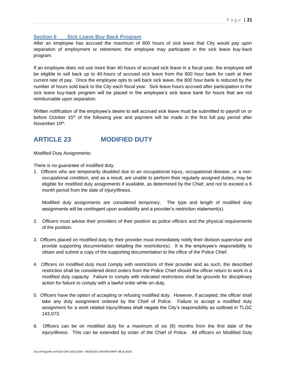#### **Section 6 Sick Leave Buy Back Program**

After an employee has accrued the maximum of 800 hours of sick leave that City would pay upon separation of employment or retirement, the employee may participate in the sick leave buy-back program.

If an employee does not use more than 40-hours of accrued sick leave in a fiscal year, the employee will be eligible to sell back up to 40-hours of accrued sick leave from the 800 hour bank for cash at their current rate of pay. Once the employee opts to sell back sick leave, the 800 hour bank is reduced by the number of hours sold back to the City each fiscal year. Sick leave hours accrued after participation in the sick leave buy-back program will be placed in the employee's sick leave bank for hours that are not reimbursable upon separation.

Written notification of the employee's desire to sell accrued sick leave must be submitted to payroll on or before October 15th of the following year and payment will be made in the first full pay period after November 10<sup>th</sup>.

### <span id="page-21-0"></span>**ARTICLE 23 MODIFIED DUTY**

Modified Duty Assignments:

There is no guarantee of modified duty.

1. Officers who are temporarily disabled due to an occupational injury, occupational disease, or a nonoccupational condition, and as a result, are unable to perform their regularly assigned duties, may be eligible for modified duty assignments if available, as determined by the Chief, and not to exceed a 6 month period from the date of injury/illness.

Modified duty assignments are considered temporary. The type and length of modified duty assignments will be contingent upon availability and a provider's restriction statement(s).

- 2. Officers must advise their providers of their position as police officers and the physical requirements of the position.
- 3. Officers placed on modified duty by their provider must immediately notify their division supervisor and provide supporting documentation detailing the restriction(s). It is the employee's responsibility to obtain and submit a copy of the supporting documentation to the office of the Police Chief.
- 4. Officers on modified duty must comply with restrictions of their provider and as such, the described restriction shall be considered direct orders from the Police Chief should the officer return to work in a modified duty capacity. Failure to comply with indicated restrictions shall be grounds for disciplinary action for failure to comply with a lawful order while on-duty.
- 5. Officers have the option of accepting or refusing modified duty. However, if accepted, the officer shall take any duty assignment ordered by the Chief of Police. Failure to accept a modified duty assignment for a work related injury/illness shall negate the City's responsibility as outlined in TLGC 143.073.
- 6. Officers can be on modified duty for a maximum of six (6) months from the first date of the injury/illness. This can be extended by order of the Chief of Police. All officers on Modified Duty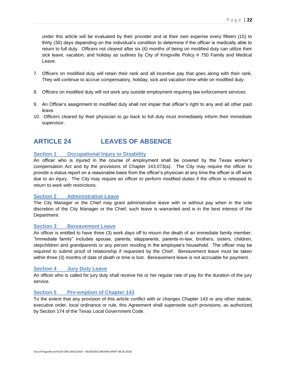P a g e | **22**

thirty (30) days depending on the individual's condition to determine if the officer is medically able to return to full duty. Officers not cleared after six (6) months of being on modified duty can utilize their sick leave, vacation, and holiday as outlines by City of Kingsville Policy # 750 Family and Medical Leave.

- 7. Officers on modified duty will retain their rank and all incentive pay that goes along with their rank. They will continue to accrue compensatory, holiday, sick and vacation time while on modified duty.
- 8. Officers on modified duty will not work any outside employment requiring law enforcement services.
- 9. An Officer's assignment to modified duty shall not impair that officer's right to any and all other paid leave.
- 10. Officers cleared by their physician to go back to full duty must immediately inform their immediate supervisor.

## <span id="page-22-0"></span>**ARTICLE 24 LEAVES OF ABSENCE**

### **Section 1 Occupational Injury or Disability**

An officer who is injured in the course of employment shall be covered by the Texas worker's compensation Act and by the provisions of Chapter 143.073(a). The City may require the officer to provide a status report on a reasonable basis from the officer's physician at any time the officer is off work due to an injury. The City may require an officer to perform modified duties if the officer is released to return to work with restrictions.

#### **Section 2 Administrative Leave**

The City Manager or the Chief may grant administrative leave with or without pay when in the sole discretion of the City Manager or the Chief, such leave is warranted and is in the best interest of the Department.

#### **Section 3 Bereavement Leave**

An officer is entitled to have three (3) work days off to mourn the death of an immediate family member. "Immediate family" includes spouse, parents, stepparents, parents-in-law, brothers, sisters, children, stepchildren and grandparents or any person residing in the employee's household. The officer may be required to submit proof of relationship if requested by the Chief. Bereavement leave must be taken within three (3) months of date of death or time is lost. Bereavement leave is not accruable for payment.

#### **Section 4 Jury Duty Leave**

An officer who is called for jury duty shall receive his or her regular rate of pay for the duration of the jury service.

#### **Section 5 Pre-emption of Chapter 143**

To the extent that any provision of this article conflict with or changes Chapter 143 or any other statute, executive order, local ordinance or rule, this Agreement shall supersede such provisions, as authorized by Section 174 of the Texas Local Government Code.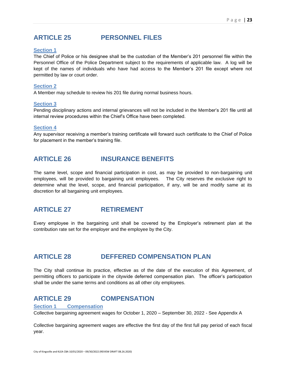### <span id="page-23-0"></span>**ARTICLE 25 PERSONNEL FILES**

#### **Section 1**

The Chief of Police or his designee shall be the custodian of the Member's 201 personnel file within the Personnel Office of the Police Department subject to the requirements of applicable law. A log will be kept of the names of individuals who have had access to the Member's 201 file except where not permitted by law or court order.

#### **Section 2**

A Member may schedule to review his 201 file during normal business hours.

#### **Section 3**

Pending disciplinary actions and internal grievances will not be included in the Member's 201 file until all internal review procedures within the Chief's Office have been completed.

#### **Section 4**

<span id="page-23-1"></span>Any supervisor receiving a member's training certificate will forward such certificate to the Chief of Police for placement in the member's training file.

### **ARTICLE 26 INSURANCE BENEFITS**

The same level, scope and financial participation in cost, as may be provided to non-bargaining unit employees, will be provided to bargaining unit employees. The City reserves the exclusive right to determine what the level, scope, and financial participation, if any, will be and modify same at its discretion for all bargaining unit employees.

### <span id="page-23-2"></span>**ARTICLE 27 RETIREMENT**

Every employee in the bargaining unit shall be covered by the Employer's retirement plan at the contribution rate set for the employer and the employee by the City.

### <span id="page-23-3"></span>**ARTICLE 28 DEFFERED COMPENSATION PLAN**

The City shall continue its practice, effective as of the date of the execution of this Agreement, of permitting officers to participate in the citywide deferred compensation plan. The officer's participation shall be under the same terms and conditions as all other city employees.

### <span id="page-23-4"></span>**ARTICLE 29 COMPENSATION**

#### **Section 1 Compensation**

Collective bargaining agreement wages for October 1, 2020 – September 30, 2022 - See Appendix A

Collective bargaining agreement wages are effective the first day of the first full pay period of each fiscal year.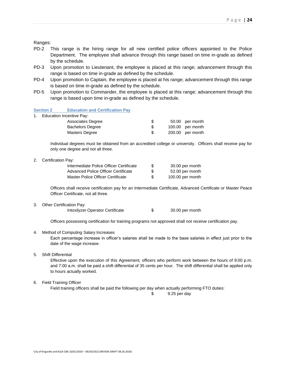Ranges:

- PD-2 This range is the hiring range for all new certified police officers appointed to the Police Department. The employee shall advance through this range based on time in-grade as defined by the schedule.
- PD-3 Upon promotion to Lieutenant, the employee is placed at this range; advancement through this range is based on time in-grade as defined by the schedule.
- PD-4 Upon promotion to Captain, the employee is placed at his range; advancement through this range is based on time in-grade as defined by the schedule.
- PD-5 Upon promotion to Commander, the employee is placed at this range; advancement through this range is based upon time in-grade as defined by the schedule.

**Section 2 Education and Certification Pay**

1. Education Incentive Pay:

| Associates Degree       | S   | 50.00 per month  |
|-------------------------|-----|------------------|
| <b>Bachelors Degree</b> |     | 100.00 per month |
| Masters Degree          | \$. | 200.00 per month |

Individual degrees must be obtained from an accredited college or university. Officers shall receive pay for only one degree and not all three.

2. Certification Pay:

| Intermediate Police Officer Certificate | S | 30.00 per month  |
|-----------------------------------------|---|------------------|
| Advanced Police Officer Certificate     | S | 52.00 per month  |
| Master Police Officer Certificate       | S | 100.00 per month |

Officers shall receive certification pay for an Intermediate Certificate, Advanced Certificate or Master Peace Officer Certificate, not all three.

3. Other Certification Pay:

Intoxilyzer Operator Certificate \$ 30.00 per month

Officers possessing certification for training programs not approved shall not receive certification pay.

4. Method of Computing Salary Increases

Each percentage increase in officer's salaries shall be made to the base salaries in effect just prior to the date of the wage increase.

5. Shift Differential

Effective upon the execution of this Agreement, officers who perform work between the hours of 9:00 p.m. and 7:00 a.m. shall be paid a shift differential of 35 cents per hour. The shift differential shall be applied only to hours actually worked.

6. Field Training Officer

Field training officers shall be paid the following per day when actually performing FTO duties:

\$ 9.25 per day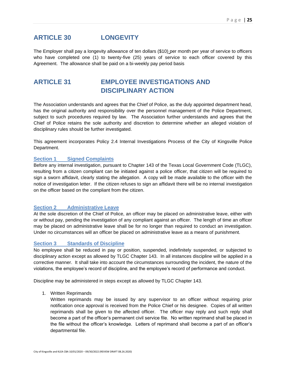### <span id="page-25-0"></span>**ARTICLE 30 LONGEVITY**

The Employer shall pay a longevity allowance of ten dollars (\$10) per month per year of service to officers who have completed one (1) to twenty-five (25) years of service to each officer covered by this Agreement. The allowance shall be paid on a bi-weekly pay period basis

### <span id="page-25-1"></span>**ARTICLE 31 EMPLOYEE INVESTIGATIONS AND DISCIPLINARY ACTION**

The Association understands and agrees that the Chief of Police, as the duly appointed department head, has the original authority and responsibility over the personnel management of the Police Department, subject to such procedures required by law. The Association further understands and agrees that the Chief of Police retains the sole authority and discretion to determine whether an alleged violation of disciplinary rules should be further investigated.

This agreement incorporates Policy 2.4 Internal Investigations Process of the City of Kingsville Police Department.

#### **Section 1 Signed Complaints**

Before any internal investigation, pursuant to Chapter 143 of the Texas Local Government Code (TLGC), resulting from a citizen compliant can be initiated against a police officer, that citizen will be required to sign a sworn affidavit, clearly stating the allegation. A copy will be made available to the officer with the notice of investigation letter. If the citizen refuses to sign an affidavit there will be no internal investigation on the officer based on the compliant from the citizen.

#### **Section 2 Administrative Leave**

At the sole discretion of the Chief of Police, an officer may be placed on administrative leave, either with or without pay, pending the investigation of any compliant against an officer. The length of time an officer may be placed on administrative leave shall be for no longer than required to conduct an investigation. Under no circumstances will an officer be placed on administrative leave as a means of punishment.

#### **Section 3 Standards of Discipline**

No employee shall be reduced in pay or position, suspended, indefinitely suspended, or subjected to disciplinary action except as allowed by TLGC Chapter 143. In all instances discipline will be applied in a corrective manner. It shall take into account the circumstances surrounding the incident, the nature of the violations, the employee's record of discipline, and the employee's record of performance and conduct.

Discipline may be administered in steps except as allowed by TLGC Chapter 143.

1. Written Reprimands

Written reprimands may be issued by any supervisor to an officer without requiring prior notification once approval is received from the Police Chief or his designee. Copies of all written reprimands shall be given to the affected officer. The officer may reply and such reply shall become a part of the officer's permanent civil service file. No written reprimand shall be placed in the file without the officer's knowledge. Letters of reprimand shall become a part of an officer's departmental file.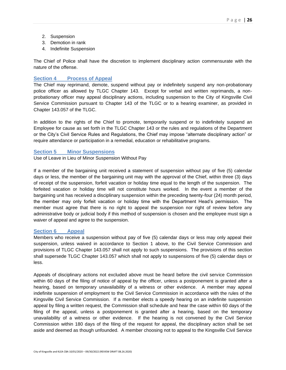- 2. Suspension
- 3. Demotion in rank
- 4. Indefinite Suspension

The Chief of Police shall have the discretion to implement disciplinary action commensurate with the nature of the offense.

#### **Section 4 Process of Appeal**

The Chief may reprimand, demote, suspend without pay or indefinitely suspend any non-probationary police officer as allowed by TLGC Chapter 143. Except for verbal and written reprimands, a nonprobationary officer may appeal disciplinary actions, including suspension to the City of Kingsville Civil Service Commission pursuant to Chapter 143 of the TLGC or to a hearing examiner, as provided in Chapter 143.057 of the TLGC.

In addition to the rights of the Chief to promote, temporarily suspend or to indefinitely suspend an Employee for cause as set forth in the TLGC Chapter 143 or the rules and regulations of the Department or the City's Civil Service Rules and Regulations, the Chief may impose "alternate disciplinary action" or require attendance or participation in a remedial, education or rehabilitative programs.

#### **Section 5 Minor Suspensions**

Use of Leave in Lieu of Minor Suspension Without Pay

If a member of the bargaining unit received a statement of suspension without pay of five (5) calendar days or less, the member of the bargaining unit may with the approval of the Chief, within three (3) days of receipt of the suspension, forfeit vacation or holiday time equal to the length of the suspension. The forfeited vacation or holiday time will not constitute hours worked. In the event a member of the bargaining unit has received a disciplinary suspension within the preceding twenty-four (24) month period, the member may only forfeit vacation or holiday time with the Department Head's permission. The member must agree that there is no right to appeal the suspension nor right of review before any administrative body or judicial body if this method of suspension is chosen and the employee must sign a waiver of appeal and agree to the suspension.

#### **Section 6 Appeal**

Members who receive a suspension without pay of five (5) calendar days or less may only appeal their suspension, unless waived in accordance to Section 1 above, to the Civil Service Commission and provisions of TLGC Chapter 143.057 shall not apply to such suspensions. The provisions of this section shall supersede TLGC Chapter 143.057 which shall not apply to suspensions of five (5) calendar days or less.

Appeals of disciplinary actions not excluded above must be heard before the civil service Commission within 60 days of the filing of notice of appeal by the officer, unless a postponement is granted after a hearing, based on temporary unavailability of a witness or other evidence. A member may appeal indefinite suspension of employment to the Civil Service Commission in accordance with the rules of the Kingsville Civil Service Commission. If a member elects a speedy hearing on an indefinite suspension appeal by filing a written request, the Commission shall schedule and hear the case within 60 days of the filing of the appeal, unless a postponement is granted after a hearing, based on the temporary unavailability of a witness or other evidence. If the hearing is not convened by the Civil Service Commission within 180 days of the filing of the request for appeal, the disciplinary action shall be set aside and deemed as though unfounded. A member choosing not to appeal to the Kingsville Civil Service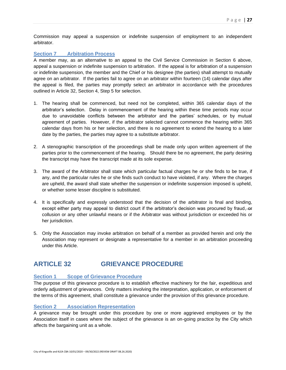Commission may appeal a suspension or indefinite suspension of employment to an independent arbitrator.

#### **Section 7 Arbitration Process**

A member may, as an alternative to an appeal to the Civil Service Commission in Section 6 above, appeal a suspension or indefinite suspension to arbitration. If the appeal is for arbitration of a suspension or indefinite suspension, the member and the Chief or his designee (the parties) shall attempt to mutually agree on an arbitrator. If the parties fail to agree on an arbitrator within fourteen (14) calendar days after the appeal is filed, the parties may promptly select an arbitrator in accordance with the procedures outlined in Article 32, Section 4, Step 5 for selection.

- 1. The hearing shall be commenced, but need not be completed, within 365 calendar days of the arbitrator's selection. Delay in commencement of the hearing within these time periods may occur due to unavoidable conflicts between the arbitrator and the parties' schedules, or by mutual agreement of parties. However, if the arbitrator selected cannot commence the hearing within 365 calendar days from his or her selection, and there is no agreement to extend the hearing to a later date by the parties, the parties may agree to a substitute arbitrator.
- 2. A stenographic transcription of the proceedings shall be made only upon written agreement of the parties prior to the commencement of the hearing. Should there be no agreement, the party desiring the transcript may have the transcript made at its sole expense.
- 3. The award of the Arbitrator shall state which particular factual charges he or she finds to be true, if any, and the particular rules he or she finds such conduct to have violated, if any. Where the charges are upheld, the award shall state whether the suspension or indefinite suspension imposed is upheld, or whether some lesser discipline is substituted.
- 4. It is specifically and expressly understood that the decision of the arbitrator is final and binding, except either party may appeal to district court if the arbitrator's decision was procured by fraud, or collusion or any other unlawful means or if the Arbitrator was without jurisdiction or exceeded his or her jurisdiction.
- 5. Only the Association may invoke arbitration on behalf of a member as provided herein and only the Association may represent or designate a representative for a member in an arbitration proceeding under this Article.

### <span id="page-27-0"></span>**ARTICLE 32 GRIEVANCE PROCEDURE**

#### **Section 1 Scope of Grievance Procedure**

The purpose of this grievance procedure is to establish effective machinery for the fair, expeditious and orderly adjustment of grievances. Only matters involving the interpretation, application, or enforcement of the terms of this agreement, shall constitute a grievance under the provision of this grievance procedure.

#### **Section 2 Association Representation**

A grievance may be brought under this procedure by one or more aggrieved employees or by the Association itself in cases where the subject of the grievance is an on-going practice by the City which affects the bargaining unit as a whole.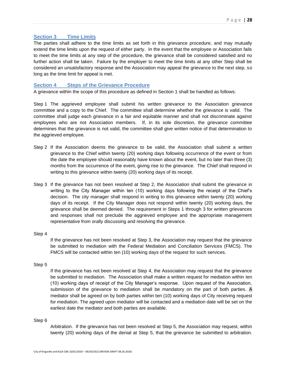#### **Section 3 Time Limits**

The parties shall adhere to the time limits as set forth in this grievance procedure, and may mutually extend the time limits upon the request of either party. In the event that the employee or Association fails to meet the time limits at any step of the procedure, the grievance shall be considered satisfied and no further action shall be taken. Failure by the employer to meet the time limits at any other Step shall be considered an unsatisfactory response and the Association may appeal the grievance to the next step, so long as the time limit for appeal is met.

#### **Section 4 Steps of the Grievance Procedure**

A grievance within the scope of this procedure as defined in Section 1 shall be handled as follows:

Step 1 The aggrieved employee shall submit his written grievance to the Association grievance committee and a copy to the Chief. The committee shall determine whether the grievance is valid. The committee shall judge each grievance in a fair and equitable manner and shall not discriminate against employees who are not Association members. If, in its sole discretion, the grievance committee determines that the grievance is not valid, the committee shall give written notice of that determination to the aggrieved employee.

- Step 2 If the Association deems the grievance to be valid, the Association shall submit a written grievance to the Chief within twenty (20) working days following occurrence of the event or from the date the employee should reasonably have known about the event, but no later than three (3) months from the occurrence of the event, giving rise to the grievance. The Chief shall respond in writing to this grievance within twenty (20) working days of its receipt.
- Step 3 If the grievance has not been resolved at Step 2, the Association shall submit the grievance in writing to the City Manager within ten (10) working days following the receipt of the Chief's decision. The city manager shall respond in writing to this grievance within twenty (20) working days of its receipt. If the City Manager does not respond within twenty (20) working days, the grievance shall be deemed denied. The requirement in Steps 1 through 3 for written grievances and responses shall not preclude the aggrieved employee and the appropriate management representative from orally discussing and resolving the grievance.

#### Step 4

If the grievance has not been resolved at Step 3, the Association may request that the grievance be submitted to mediation with the Federal Mediation and Conciliation Services (FMCS). The FMCS will be contacted within ten (10) working days of the request for such services.

#### Step 5

If the grievance has not been resolved at Step 4, the Association may request that the grievance be submitted to mediation. The Association shall make a written request for mediation within ten (10) working days of receipt of the City Manager's response. Upon request of the Association, submission of the grievance to mediation shall be mandatory on the part of both parties. A mediator shall be agreed on by both parties within ten (10) working days of City receiving request for mediation. The agreed upon mediator will be contacted and a mediation date will be set on the earliest date the mediator and both parties are available.

#### Step 6

Arbitration. If the grievance has not been resolved at Step 5, the Association may request, within twenty (20) working days of the denial at Step 5, that the grievance be submitted to arbitration.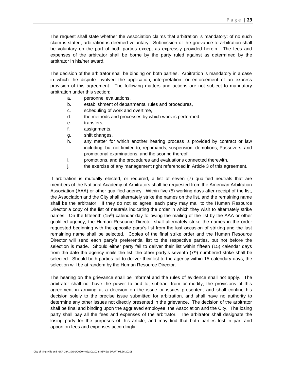The request shall state whether the Association claims that arbitration is mandatory; of no such claim is stated, arbitration is deemed voluntary. Submission of the grievance to arbitration shall be voluntary on the part of both parties except as expressly provided herein. The fees and expenses of the arbitrator shall be borne by the party ruled against as determined by the arbitrator in his/her award.

The decision of the arbitrator shall be binding on both parties. Arbitration is mandatory in a case in which the dispute involved the application, interpretation, or enforcement of an express provision of this agreement. The following matters and actions are not subject to mandatory arbitration under this section:

- a. personnel evaluations,
- b. establishment of departmental rules and procedures,
- c. scheduling of work and overtime,
- d. the methods and processes by which work is performed,
- e. transfers,
- f. assignments,
- g. shift changes,
- h. any matter for which another hearing process is provided by contract or law including, but not limited to, reprimands, suspension, demotions, Passovers, and promotional examinations, and the scoring thereof,
- i. promotions, and the procedures and evaluations connected therewith,
- j. the exercise of any management right referenced in Article 3 of this agreement.

If arbitration is mutually elected, or required, a list of seven (7) qualified neutrals that are members of the National Academy of Arbitrators shall be requested from the American Arbitration Association (AAA) or other qualified agency. Within five (5) working days after receipt of the list, the Association and the City shall alternately strike the names on the list, and the remaining name shall be the arbitrator. If they do not so agree, each party may mail to the Human Resource Director a copy of the list of neutrals indicating the order in which they wish to alternately strike names. On the fifteenth  $(15<sup>th</sup>)$  calendar day following the mailing of the list by the AAA or other qualified agency, the Human Resource Director shall alternately strike the names in the order requested beginning with the opposite party's list from the last occasion of striking and the last remaining name shall be selected. Copies of the final strike order and the Human Resource Director will send each party's preferential list to the respective parties, but not before the selection is made. Should either party fail to deliver their list within fifteen (15) calendar days from the date the agency mails the list, the other party's seventh  $(7<sup>th</sup>)$  numbered strike shall be selected. Should both parties fail to deliver their list to the agency within 15-calendary days, the selection will be at random by the Human Resource Director.

The hearing on the grievance shall be informal and the rules of evidence shall not apply. The arbitrator shall not have the power to add to, subtract from or modify, the provisions of this agreement in arriving at a decision on the issue or issues presented; and shall confine his decision solely to the precise issue submitted for arbitration, and shall have no authority to determine any other issues not directly presented in the grievance. The decision of the arbitrator shall be final and binding upon the aggrieved employee, the Association and the City. The losing party shall pay all the fees and expenses of the arbitrator. The arbitrator shall designate the losing party for the purposes of this article, and may find that both parties lost in part and apportion fees and expenses accordingly.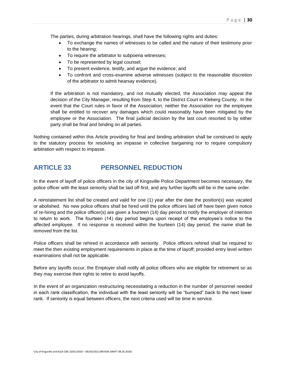The parties, during arbitration hearings, shall have the following rights and duties:

- To exchange the names of witnesses to be called and the nature of their testimony prior to the hearing;
- To require the arbitrator to subpoena witnesses;
- To be represented by legal counsel;
- To present evidence, testify, and argue the evidence; and
- To confront and cross-examine adverse witnesses (subject to the reasonable discretion of the arbitrator to admit hearsay evidence).

If the arbitration is not mandatory, and not mutually elected, the Association may appeal the decision of the City Manager, resulting from Step 4, to the District Court in Kleberg County. In the event that the Court rules in favor of the Association, neither the Association nor the employee shall be entitled to recover any damages which could reasonably have been mitigated by the employee or the Association. The final judicial decision by the last court resorted to by either party shall be final and binding on all parties.

Nothing contained within this Article providing for final and binding arbitration shall be construed to apply to the statutory process for resolving an impasse in collective bargaining nor to require compulsory arbitration with respect to impasse.

### <span id="page-30-0"></span>**ARTICLE 33 PERSONNEL REDUCTION**

In the event of layoff of police officers in the city of Kingsville Police Department becomes necessary, the police officer with the least seniority shall be laid off first, and any further layoffs will be in the same order.

A reinstatement list shall be created and valid for one (1) year after the date the position(s) was vacated or abolished. No new police officers shall be hired until the police officers laid off have been given notice of re-hiring and the police officer(s) are given a fourteen (14) day period to notify the employer of intention to return to work. The fourteen (14) day period begins upon receipt of the employee's notice to the affected employee. If no response is received within the fourteen (14) day period, the name shall be removed from the list.

Police officers shall be rehired in accordance with seniority. Police officers rehired shall be required to meet the then existing employment requirements in place at the time of layoff; provided entry level written examinations shall not be applicable.

Before any layoffs occur, the Employer shall notify all police officers who are eligible for retirement so as they may exercise their rights to retire to avoid layoffs.

In the event of an organization restructuring necessitating a reduction in the number of personnel needed in each rank classification, the individual with the least seniority will be "bumped" back to the next lower rank. If seniority is equal between officers, the next criteria used will be time in service.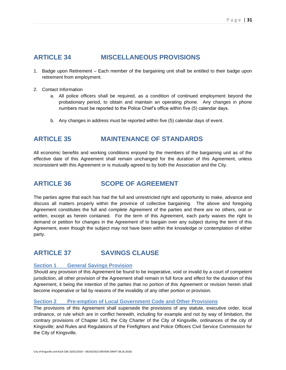### <span id="page-31-0"></span>**ARTICLE 34 MISCELLANEOUS PROVISIONS**

- 1. Badge upon Retirement Each member of the bargaining unit shall be entitled to their badge upon retirement from employment.
- 2. Contact Information
	- a. All police officers shall be required, as a condition of continued employment beyond the probationary period, to obtain and maintain an operating phone. Any changes in phone numbers must be reported to the Police Chief's office within five (5) calendar days.
	- b. Any changes in address must be reported within five (5) calendar days of event.

### <span id="page-31-1"></span>**ARTICLE 35 MAINTENANCE OF STANDARDS**

All economic benefits and working conditions enjoyed by the members of the bargaining unit as of the effective date of this Agreement shall remain unchanged for the duration of this Agreement, unless inconsistent with this Agreement or is mutually agreed to by both the Association and the City.

### <span id="page-31-2"></span>**ARTICLE 36 SCOPE OF AGREEMENT**

The parties agree that each has had the full and unrestricted right and opportunity to make, advance and discuss all matters properly within the province of collective bargaining. The above and foregoing Agreement constitutes the full and complete Agreement of the parties and there are no others, oral or written, except as herein contained. For the term of this Agreement, each party waives the right to demand or petition for changes in the Agreement of to bargain over any subject during the term of this Agreement, even though the subject may not have been within the knowledge or contemplation of either party.

### <span id="page-31-3"></span>**ARTICLE 37 SAVINGS CLAUSE**

#### **Section 1 General Savings Provision**

Should any provision of this Agreement be found to be inoperative, void or invalid by a court of competent jurisdiction, all other provision of the Agreement shall remain in full force and effect for the duration of this Agreement, it being the intention of the parties that no portion of this Agreement or revision herein shall become inoperative or fail by reasons of the invalidity of any other portion or provision.

#### **Section 2 Pre-emption of Local Government Code and Other Provisions**

The provisions of this Agreement shall supersede the provisions of any statute, executive order, local ordinance, or rule which are in conflict herewith, including for example and not by way of limitation, the contrary provisions of Chapter 143, the City Charter of the City of Kingsville, ordinances of the city of Kingsville; and Rules and Regulations of the Firefighters and Police Officers Civil Service Commission for the City of Kingsville.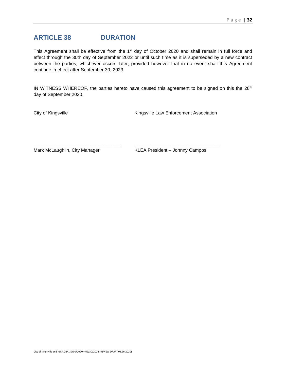### <span id="page-32-0"></span>**ARTICLE 38 DURATION**

This Agreement shall be effective from the 1<sup>st</sup> day of October 2020 and shall remain in full force and effect through the 30th day of September 2022 or until such time as it is superseded by a new contract between the parties, whichever occurs later, provided however that in no event shall this Agreement continue in effect after September 30, 2023.

IN WITNESS WHEREOF, the parties hereto have caused this agreement to be signed on this the 28<sup>th</sup> day of September 2020.

\_\_\_\_\_\_\_\_\_\_\_\_\_\_\_\_\_\_\_\_\_\_\_\_\_\_\_\_\_\_\_\_\_\_ \_\_\_\_\_\_\_\_\_\_\_\_\_\_\_\_\_\_\_\_\_\_\_\_\_\_\_\_\_\_\_\_\_

City of Kingsville **Kingsville Law Enforcement Association** 

Mark McLaughlin, City Manager KLEA President – Johnny Campos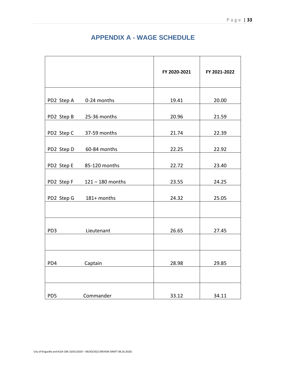### **APPENDIX A - WAGE SCHEDULE**

<span id="page-33-0"></span>

|                 |                    | FY 2020-2021 | FY 2021-2022 |
|-----------------|--------------------|--------------|--------------|
| PD2 Step A      | 0-24 months        | 19.41        | 20.00        |
| PD2 Step B      | 25-36 months       | 20.96        | 21.59        |
| PD2 Step C      | 37-59 months       | 21.74        | 22.39        |
| PD2 Step D      | 60-84 months       | 22.25        | 22.92        |
| PD2 Step E      | 85-120 months      | 22.72        | 23.40        |
| PD2 Step F      | $121 - 180$ months | 23.55        | 24.25        |
| PD2 Step G      | 181+ months        | 24.32        | 25.05        |
|                 |                    |              |              |
| PD <sub>3</sub> | Lieutenant         | 26.65        | 27.45        |
|                 |                    |              |              |
| PD4             | Captain            | 28.98        | 29.85        |
|                 |                    |              |              |
| PD <sub>5</sub> | Commander          | 33.12        | 34.11        |